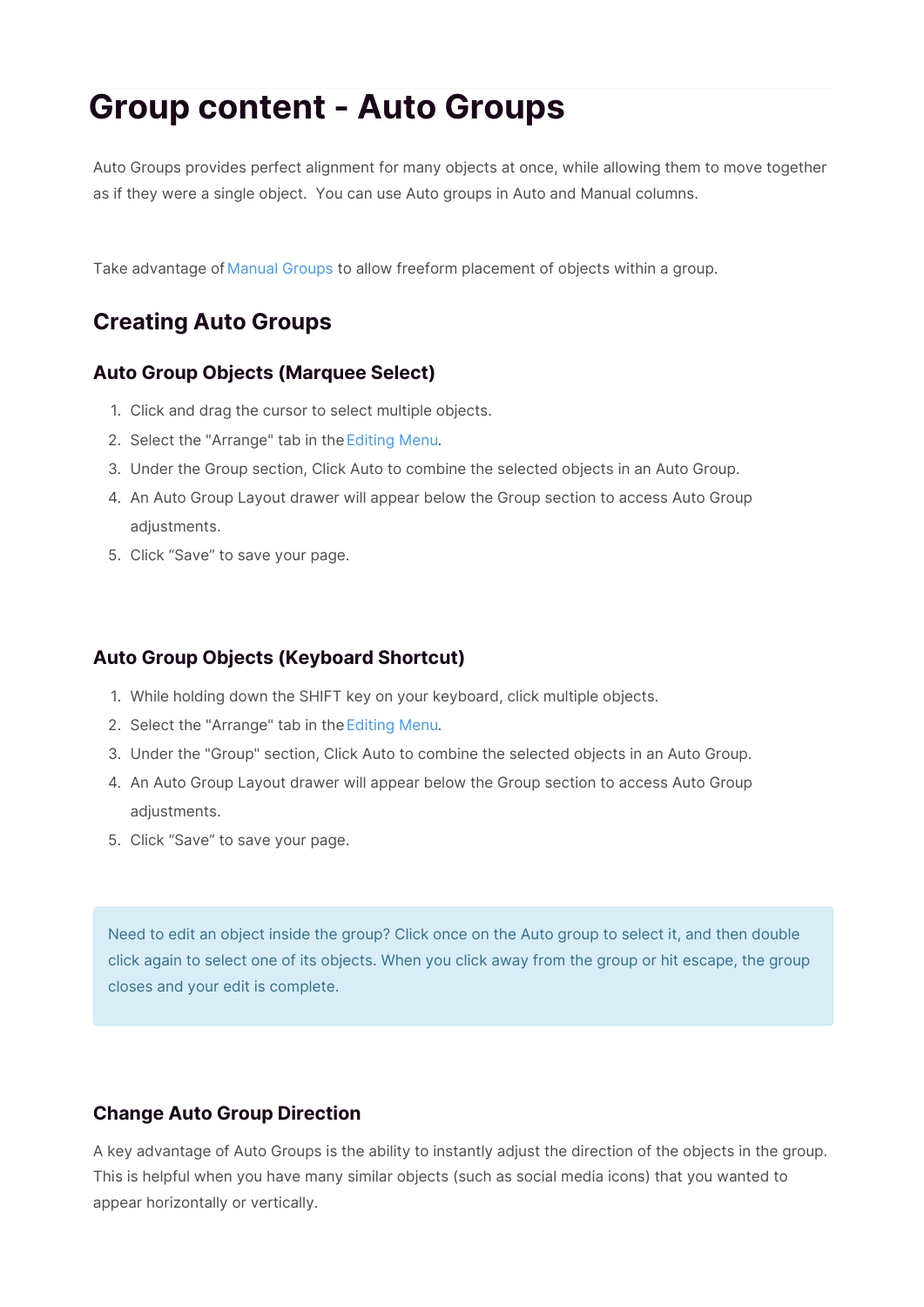# **Group content - Auto Groups**

Auto Groups provides perfect alignment for many objects at once, while allowing them to move together as if they were a single object. You can use Auto groups in Auto and Manual columns.

Take advantage of Manual Groups to allow freeform placement of objects within a group.

# **Creating Auto Groups**

# **Auto Group Objects (Marquee Select)**

- 1. Click and drag the cursor to select multiple objects.
- 2. Select the "Arrange" tab in the Editing Menu.
- 3. Under the Group section, Click Auto to combine the selected objects in an Auto Group.
- 4. An Auto Group Layout drawer will appear below the Group section to access Auto Group adjustments.
- 5. Click "Save" to save your page.

# **Auto Group Objects (Keyboard Shortcut)**

- 1. While holding down the SHIFT key on your keyboard, click multiple objects.
- 2. Select the "Arrange" tab in the Editing Menu.
- 3. Under the "Group" section, Click Auto to combine the selected objects in an Auto Group.
- 4. An Auto Group Layout drawer will appear below the Group section to access Auto Group adjustments.
- 5. Click "Save" to save your page.

Need to edit an object inside the group? Click once on the Auto group to select it, and then double click again to select one of its objects. When you click away from the group or hit escape, the group closes and your edit is complete.

# **Change Auto Group Direction**

A key advantage of Auto Groups is the ability to instantly adjust the direction of the objects in the group. This is helpful when you have many similar objects (such as social media icons) that you wanted to appear horizontally or vertically.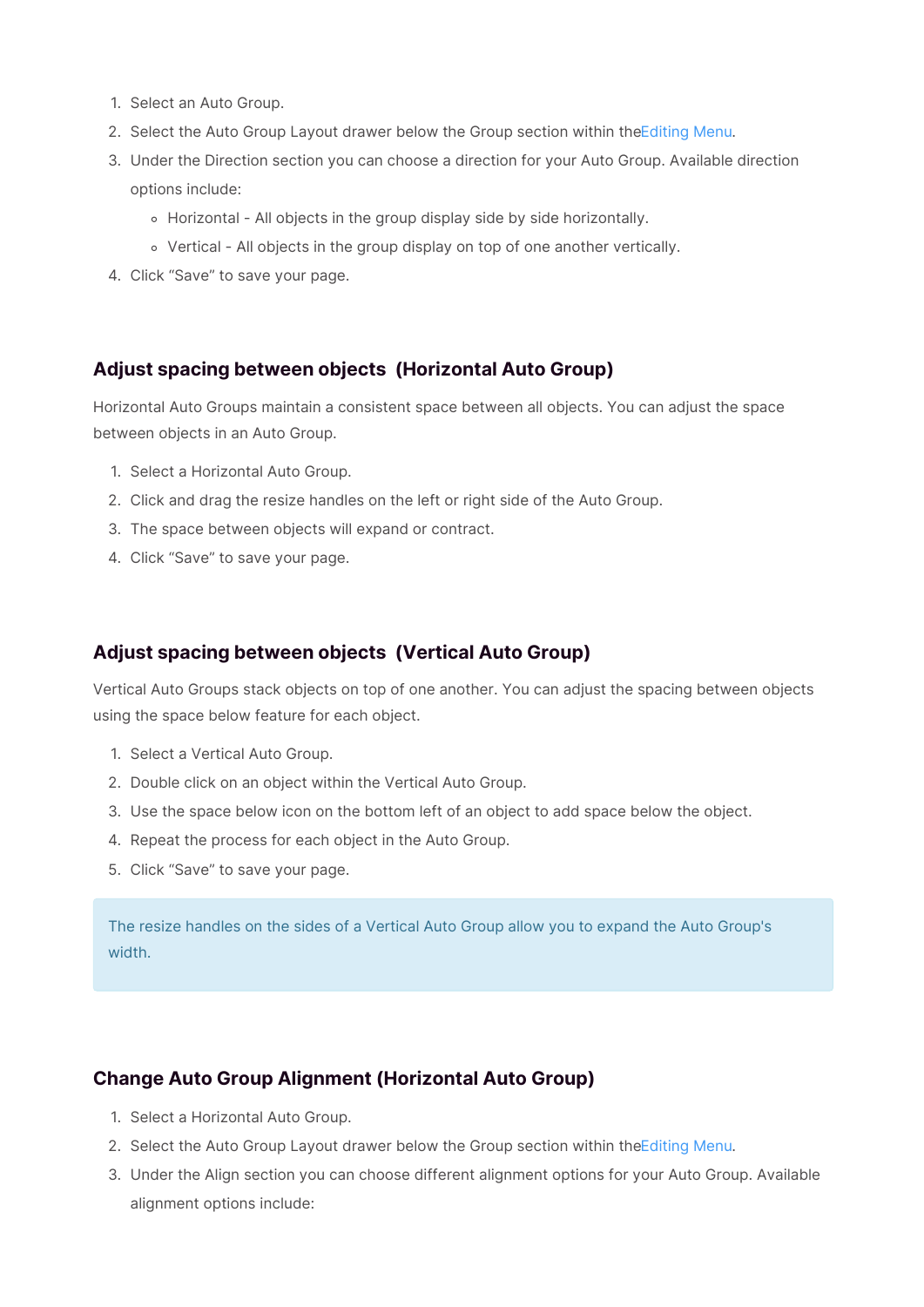- 1. Select an Auto Group.
- 2. Select the Auto Group Layout drawer below the Group section within the Editing Menu.
- 3. Under the Direction section you can choose a direction for your Auto Group. Available direction options include:
	- Horizontal All objects in the group display side by side horizontally.
	- Vertical All objects in the group display on top of one another vertically.
- 4. Click "Save" to save your page.

#### **Adjust spacing between objects (Horizontal Auto Group)**

Horizontal Auto Groups maintain a consistent space between all objects. You can adjust the space between objects in an Auto Group.

- 1. Select a Horizontal Auto Group.
- 2. Click and drag the resize handles on the left or right side of the Auto Group.
- 3. The space between objects will expand or contract.
- 4. Click "Save" to save your page.

## **Adjust spacing between objects (Vertical Auto Group)**

Vertical Auto Groups stack objects on top of one another. You can adjust the spacing between objects using the space below feature for each object.

- 1. Select a Vertical Auto Group.
- 2. Double click on an object within the Vertical Auto Group.
- 3. Use the space below icon on the bottom left of an object to add space below the object.
- 4. Repeat the process for each object in the Auto Group.
- 5. Click "Save" to save your page.

The resize handles on the sides of a Vertical Auto Group allow you to expand the Auto Group's width.

#### **Change Auto Group Alignment (Horizontal Auto Group)**

- 1. Select a Horizontal Auto Group.
- 2. Select the Auto Group Layout drawer below the Group section within the Editing Menu.
- 3. Under the Align section you can choose different alignment options for your Auto Group. Available alignment options include: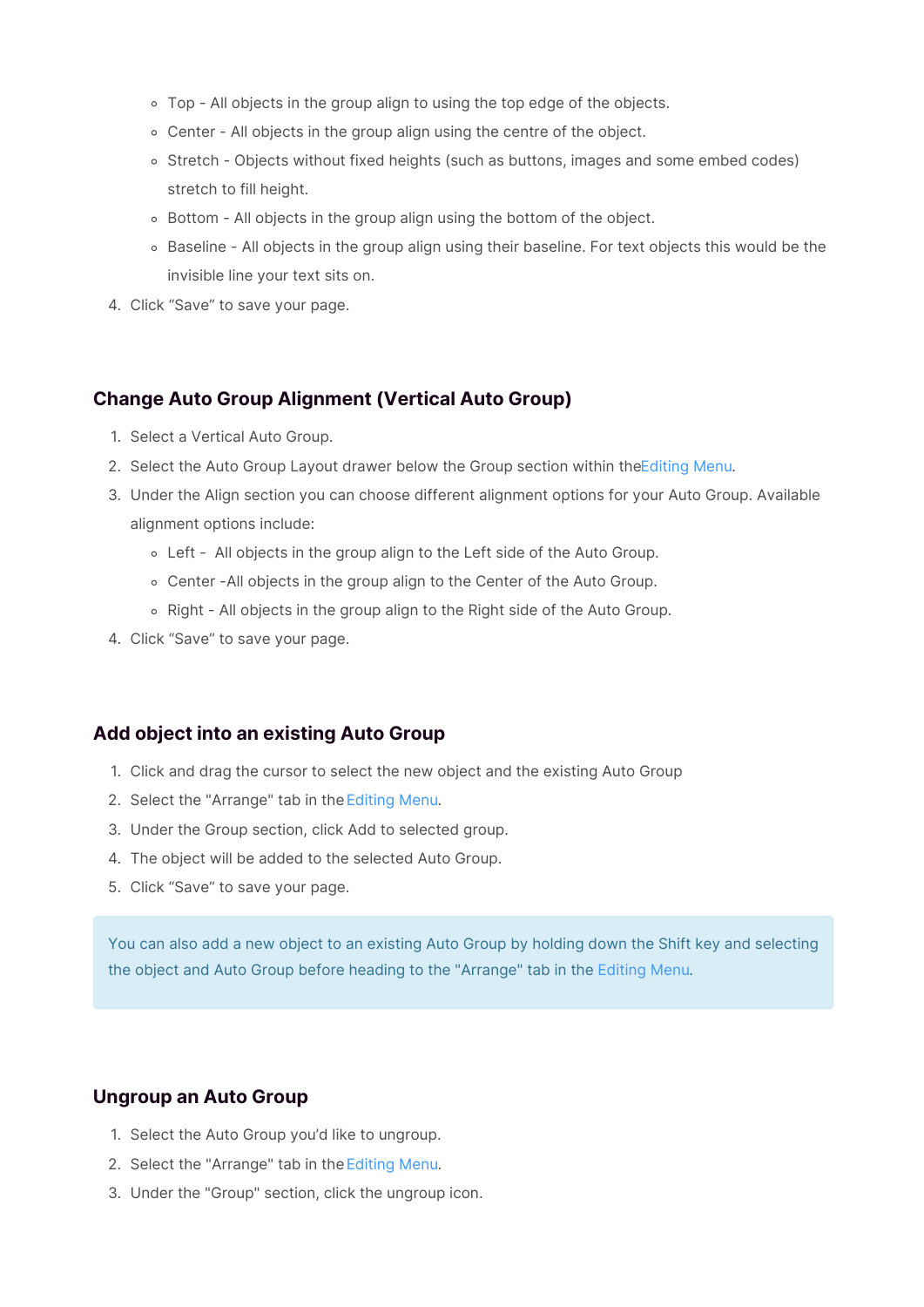- Top All objects in the group align to using the top edge of the objects.
- Center All objects in the group align using the centre of the object.
- o Stretch Objects without fixed heights (such as buttons, images and some embed codes) stretch to fill height.
- Bottom All objects in the group align using the bottom of the object.
- o Baseline All objects in the group align using their baseline. For text objects this would be the invisible line your text sits on.
- 4. Click "Save" to save your page.

#### **Change Auto Group Alignment (Vertical Auto Group)**

- 1. Select a Vertical Auto Group.
- 2. Select the Auto Group Layout drawer below the Group section within the Editing Menu.
- 3. Under the Align section you can choose different alignment options for your Auto Group. Available alignment options include:
	- Left All objects in the group align to the Left side of the Auto Group.
	- Center -All objects in the group align to the Center of the Auto Group.
	- o Right All objects in the group align to the Right side of the Auto Group.
- 4. Click "Save" to save your page.

#### **Add object into an existing Auto Group**

- 1. Click and drag the cursor to select the new object and the existing Auto Group
- 2. Select the "Arrange" tab in theEditing Menu.
- 3. Under the Group section, click Add to selected group.
- 4. The object will be added to the selected Auto Group.
- 5. Click "Save" to save your page.

You can also add a new object to an existing Auto Group by holding down the Shift key and selecting the object and Auto Group before heading to the "Arrange" tab in the Editing Menu.

# **Ungroup an Auto Group**

- 1. Select the Auto Group you'd like to ungroup.
- 2. Select the "Arrange" tab in theEditing Menu.
- 3. Under the "Group" section, click the ungroup icon.